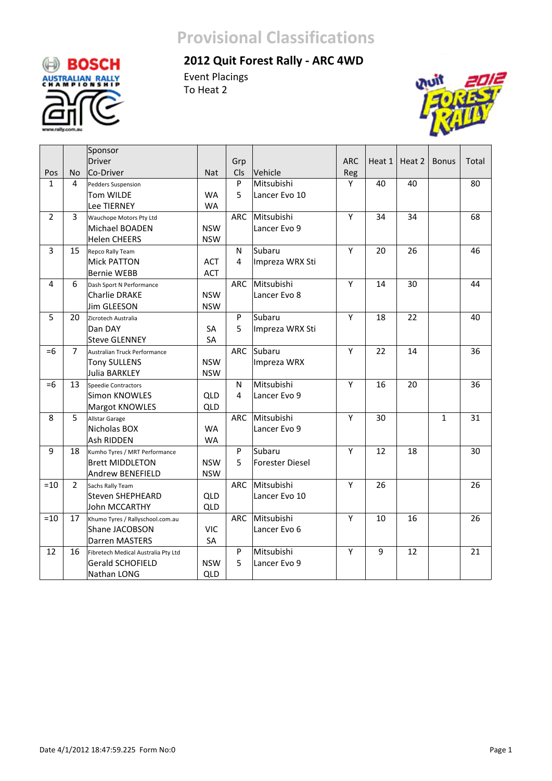

#### **2012 Quit Forest Rally ‐ ARC 4WD**



|                |                | Sponsor                             |            |            |                        |            |        |        |              |       |
|----------------|----------------|-------------------------------------|------------|------------|------------------------|------------|--------|--------|--------------|-------|
|                |                | <b>Driver</b>                       |            | Grp        |                        | <b>ARC</b> | Heat 1 | Heat 2 | <b>Bonus</b> | Total |
| Pos            | <b>No</b>      | Co-Driver                           | <b>Nat</b> | Cls        | Vehicle                | Reg        |        |        |              |       |
| $\mathbf{1}$   | 4              | <b>Pedders Suspension</b>           |            | P          | Mitsubishi             | Y          | 40     | 40     |              | 80    |
|                |                | Tom WILDE                           | <b>WA</b>  | 5          | Lancer Evo 10          |            |        |        |              |       |
|                |                | Lee TIERNEY                         | <b>WA</b>  |            |                        |            |        |        |              |       |
| $\overline{2}$ | 3              | Wauchope Motors Pty Ltd             |            | ARC        | Mitsubishi             | Y          | 34     | 34     |              | 68    |
|                |                | Michael BOADEN                      | <b>NSW</b> |            | Lancer Evo 9           |            |        |        |              |       |
|                |                | <b>Helen CHEERS</b>                 | <b>NSW</b> |            |                        |            |        |        |              |       |
| 3              | 15             | Repco Rally Team                    |            | N          | Subaru                 | Y          | 20     | 26     |              | 46    |
|                |                | <b>Mick PATTON</b>                  | <b>ACT</b> | 4          | Impreza WRX Sti        |            |        |        |              |       |
|                |                | <b>Bernie WEBB</b>                  | <b>ACT</b> |            |                        |            |        |        |              |       |
| 4              | 6              | Dash Sport N Performance            |            | ARC        | Mitsubishi             | Y          | 14     | 30     |              | 44    |
|                |                | Charlie DRAKE                       | <b>NSW</b> |            | Lancer Evo 8           |            |        |        |              |       |
|                |                | Jim GLEESON                         | <b>NSW</b> |            |                        |            |        |        |              |       |
| 5              | 20             | Zicrotech Australia                 |            | P          | Subaru                 | Υ          | 18     | 22     |              | 40    |
|                |                | Dan DAY                             | <b>SA</b>  | 5          | Impreza WRX Sti        |            |        |        |              |       |
|                |                | <b>Steve GLENNEY</b>                | <b>SA</b>  |            |                        |            |        |        |              |       |
| $=6$           | 7              | <b>Australian Truck Performance</b> |            | <b>ARC</b> | Subaru                 | Y          | 22     | 14     |              | 36    |
|                |                | <b>Tony SULLENS</b>                 | <b>NSW</b> |            | Impreza WRX            |            |        |        |              |       |
|                |                | <b>Julia BARKLEY</b>                | <b>NSW</b> |            |                        |            |        |        |              |       |
| $=6$           | 13             | Speedie Contractors                 |            | N          | Mitsubishi             | Y          | 16     | 20     |              | 36    |
|                |                | Simon KNOWLES                       | <b>QLD</b> | 4          | Lancer Evo 9           |            |        |        |              |       |
|                |                | Margot KNOWLES                      | <b>QLD</b> |            |                        |            |        |        |              |       |
| 8              | 5              | <b>Allstar Garage</b>               |            | ARC        | Mitsubishi             | Y          | 30     |        | $\mathbf{1}$ | 31    |
|                |                | Nicholas BOX                        | <b>WA</b>  |            | Lancer Evo 9           |            |        |        |              |       |
|                |                | Ash RIDDEN                          | <b>WA</b>  |            |                        |            |        |        |              |       |
| 9              | 18             | Kumho Tyres / MRT Performance       |            | P          | Subaru                 | Υ          | 12     | 18     |              | 30    |
|                |                | <b>Brett MIDDLETON</b>              | <b>NSW</b> | 5          | <b>Forester Diesel</b> |            |        |        |              |       |
|                |                | Andrew BENEFIELD                    | <b>NSW</b> |            |                        |            |        |        |              |       |
| $=10$          | $\overline{2}$ | Sachs Rally Team                    |            | <b>ARC</b> | Mitsubishi             | Y          | 26     |        |              | 26    |
|                |                | <b>Steven SHEPHEARD</b>             | QLD        |            | Lancer Evo 10          |            |        |        |              |       |
|                |                | <b>John MCCARTHY</b>                | <b>QLD</b> |            |                        |            |        |        |              |       |
| $=10$          | 17             | Khumo Tyres / Rallyschool.com.au    |            | ARC        | Mitsubishi             | Y          | 10     | 16     |              | 26    |
|                |                | Shane JACOBSON                      | <b>VIC</b> |            | Lancer Evo 6           |            |        |        |              |       |
|                |                | Darren MASTERS                      | SA         |            |                        |            |        |        |              |       |
| 12             | 16             | Fibretech Medical Australia Pty Ltd |            | P          | Mitsubishi             | Υ          | 9      | 12     |              | 21    |
|                |                | <b>Gerald SCHOFIELD</b>             | <b>NSW</b> | 5          | Lancer Evo 9           |            |        |        |              |       |
|                |                | Nathan LONG                         | QLD        |            |                        |            |        |        |              |       |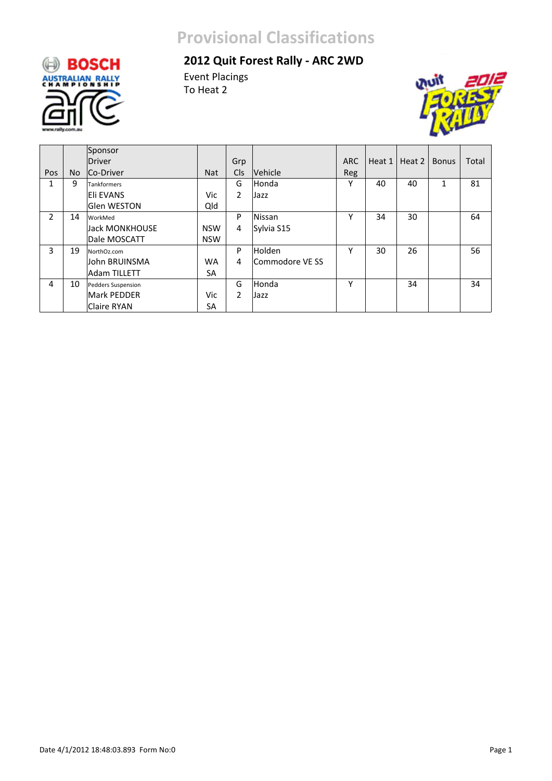# **BOSCH** AUSTRALIAN RALLY

#### **2012 Quit Forest Rally ‐ ARC 2WD**



|                |     | Sponsor                   |            |                |                 |            |        |        |              |       |
|----------------|-----|---------------------------|------------|----------------|-----------------|------------|--------|--------|--------------|-------|
|                |     | <b>Driver</b>             |            | Grp            |                 | <b>ARC</b> | Heat 1 | Heat 2 | <b>Bonus</b> | Total |
| Pos            | No. | Co-Driver                 | <b>Nat</b> | Cls            | Vehicle         | <b>Reg</b> |        |        |              |       |
| 1              | 9   | <b>Tankformers</b>        |            | G              | Honda           | v          | 40     | 40     | 1            | 81    |
|                |     | Eli EVANS                 | Vic        | $\overline{2}$ | Jazz            |            |        |        |              |       |
|                |     | <b>Glen WESTON</b>        | Qld        |                |                 |            |        |        |              |       |
| $\overline{2}$ | 14  | WorkMed                   |            | P              | Nissan          | γ          | 34     | 30     |              | 64    |
|                |     | <b>Jack MONKHOUSE</b>     | <b>NSW</b> | 4              | Sylvia S15      |            |        |        |              |       |
|                |     | Dale MOSCATT              | <b>NSW</b> |                |                 |            |        |        |              |       |
| 3              | 19  | NorthOz.com               |            | P              | Holden          | γ          | 30     | 26     |              | 56    |
|                |     | John BRUINSMA             | <b>WA</b>  | 4              | Commodore VE SS |            |        |        |              |       |
|                |     | <b>Adam TILLETT</b>       | SA         |                |                 |            |        |        |              |       |
| 4              | 10  | <b>Pedders Suspension</b> |            | G              | Honda           | Y          |        | 34     |              | 34    |
|                |     | <b>Mark PEDDER</b>        | Vic        | $\overline{2}$ | Jazz            |            |        |        |              |       |
|                |     | <b>Claire RYAN</b>        | SA         |                |                 |            |        |        |              |       |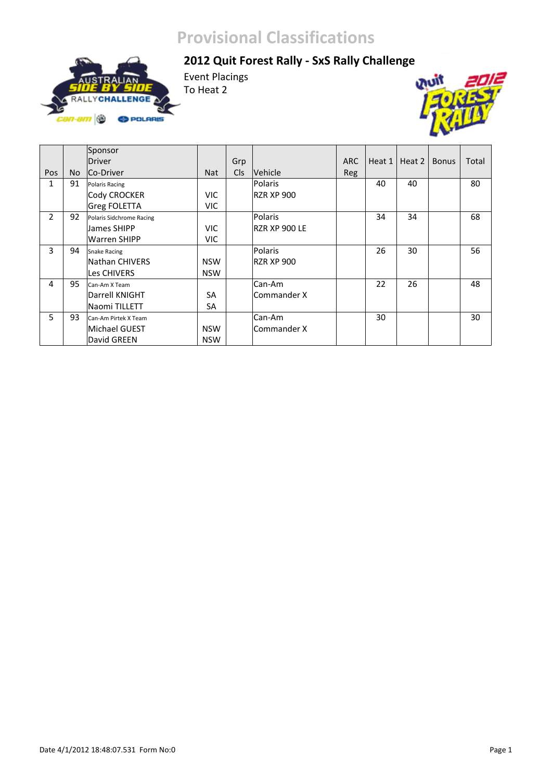#### **2012 Quit Forest Rally ‐ SxS Rally Challenge**





|                |     | Sponsor                  |            |            |               |            |        |        |              |       |
|----------------|-----|--------------------------|------------|------------|---------------|------------|--------|--------|--------------|-------|
|                |     | Driver                   |            | Grp        |               | <b>ARC</b> | Heat 1 | Heat 2 | <b>Bonus</b> | Total |
| Pos            | No. | Co-Driver                | <b>Nat</b> | <b>Cls</b> | Vehicle       | Reg        |        |        |              |       |
| 1              | 91  | <b>Polaris Racing</b>    |            |            | Polaris       |            | 40     | 40     |              | 80    |
|                |     | Cody CROCKER             | VIC.       |            | RZR XP 900    |            |        |        |              |       |
|                |     | <b>Greg FOLETTA</b>      | VIC.       |            |               |            |        |        |              |       |
| $\overline{2}$ | 92  | Polaris Sidchrome Racing |            |            | Polaris       |            | 34     | 34     |              | 68    |
|                |     | James SHIPP              | VIC        |            | RZR XP 900 LE |            |        |        |              |       |
|                |     | <b>Warren SHIPP</b>      | VIC        |            |               |            |        |        |              |       |
| 3              | 94  | <b>Snake Racing</b>      |            |            | Polaris       |            | 26     | 30     |              | 56    |
|                |     | Nathan CHIVERS           | <b>NSW</b> |            | RZR XP 900    |            |        |        |              |       |
|                |     | Les CHIVERS              | <b>NSW</b> |            |               |            |        |        |              |       |
| 4              | 95  | Can-Am X Team            |            |            | Can-Am        |            | 22     | 26     |              | 48    |
|                |     | Darrell KNIGHT           | SA         |            | Commander X   |            |        |        |              |       |
|                |     | Naomi TILLETT            | SA         |            |               |            |        |        |              |       |
| 5.             | 93  | Can-Am Pirtek X Team     |            |            | Can-Am        |            | 30     |        |              | 30    |
|                |     | <b>Michael GUEST</b>     | <b>NSW</b> |            | Commander X   |            |        |        |              |       |
|                |     | David GREEN              | <b>NSW</b> |            |               |            |        |        |              |       |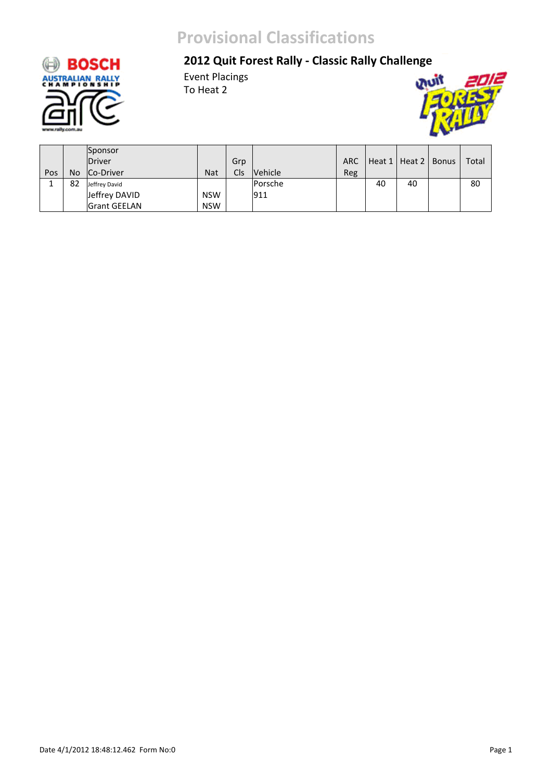

#### **2012 Quit Forest Rally ‐ Classic Rally Challenge**



|     |    | Sponsor             |            |     |                              |            |    |                             |       |       |
|-----|----|---------------------|------------|-----|------------------------------|------------|----|-----------------------------|-------|-------|
|     |    | Driver              |            | Grp |                              | <b>ARC</b> |    | Heat $1 \mid$ Heat 2 $\mid$ | Bonus | Total |
| Pos | No | Co-Driver           | Nat        | Cls | <i><u><b>Nehicle</b></u></i> | Reg        |    |                             |       |       |
|     | 82 | Jeffrey David       |            |     | Porsche                      |            | 40 | 40                          |       | 80    |
|     |    | Jeffrey DAVID       | <b>NSW</b> |     | 911                          |            |    |                             |       |       |
|     |    | <b>Grant GEELAN</b> | <b>NSW</b> |     |                              |            |    |                             |       |       |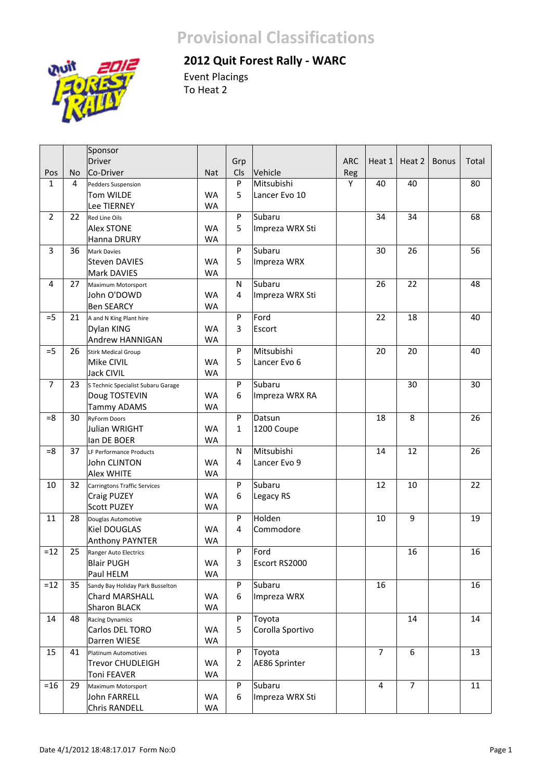

#### **2012 Quit Forest Rally ‐ WARC**

|                |           | Sponsor                             |            |                |                  |            |                |                |              |       |
|----------------|-----------|-------------------------------------|------------|----------------|------------------|------------|----------------|----------------|--------------|-------|
|                |           | Driver                              |            | Grp            |                  | <b>ARC</b> | Heat 1         | Heat 2         | <b>Bonus</b> | Total |
| Pos            | <b>No</b> | Co-Driver                           | <b>Nat</b> | Cls            | Vehicle          | Reg        |                |                |              |       |
| $\mathbf{1}$   | 4         | Pedders Suspension                  |            | P              | Mitsubishi       | Y          | 40             | 40             |              | 80    |
|                |           | Tom WILDE                           | <b>WA</b>  | 5              | Lancer Evo 10    |            |                |                |              |       |
|                |           | Lee TIERNEY                         | <b>WA</b>  |                |                  |            |                |                |              |       |
| $\overline{2}$ | 22        | Red Line Oils                       |            | P              | Subaru           |            | 34             | 34             |              | 68    |
|                |           | <b>Alex STONE</b>                   | <b>WA</b>  | 5              | Impreza WRX Sti  |            |                |                |              |       |
|                |           | Hanna DRURY                         | <b>WA</b>  |                |                  |            |                |                |              |       |
| 3              | 36        | Mark Davies                         |            | P              | Subaru           |            | 30             | 26             |              | 56    |
|                |           | <b>Steven DAVIES</b>                | <b>WA</b>  | 5              | Impreza WRX      |            |                |                |              |       |
|                |           | Mark DAVIES                         | <b>WA</b>  |                |                  |            |                |                |              |       |
| 4              | 27        | Maximum Motorsport                  |            | N              | Subaru           |            | 26             | 22             |              | 48    |
|                |           | John O'DOWD                         | WA         | 4              | Impreza WRX Sti  |            |                |                |              |       |
|                |           | <b>Ben SEARCY</b>                   | <b>WA</b>  |                |                  |            |                |                |              |       |
| $=5$           | 21        | A and N King Plant hire             |            | P              | Ford             |            | 22             | 18             |              | 40    |
|                |           | Dylan KING                          | <b>WA</b>  | 3              | Escort           |            |                |                |              |       |
|                |           | Andrew HANNIGAN                     | <b>WA</b>  |                |                  |            |                |                |              |       |
| $=5$           | 26        | <b>Stirk Medical Group</b>          |            | P              | Mitsubishi       |            | 20             | 20             |              | 40    |
|                |           | Mike CIVIL                          | <b>WA</b>  | 5              | Lancer Evo 6     |            |                |                |              |       |
|                |           | <b>Jack CIVIL</b>                   | <b>WA</b>  |                |                  |            |                |                |              |       |
| $\overline{7}$ | 23        | S Technic Specialist Subaru Garage  |            | P              | Subaru           |            |                | 30             |              | 30    |
|                |           | Doug TOSTEVIN                       | <b>WA</b>  | 6              | Impreza WRX RA   |            |                |                |              |       |
|                |           | <b>Tammy ADAMS</b>                  | <b>WA</b>  |                |                  |            |                |                |              |       |
| $=8$           | 30        | <b>RyForm Doors</b>                 |            | P              | Datsun           |            | 18             | 8              |              | 26    |
|                |           | Julian WRIGHT                       | WA         | 1              | 1200 Coupe       |            |                |                |              |       |
|                |           | lan DE BOER                         | <b>WA</b>  |                |                  |            |                |                |              |       |
| $=8$           | 37        | LF Performance Products             |            | N              | Mitsubishi       |            | 14             | 12             |              | 26    |
|                |           | John CLINTON                        | WA         | 4              | Lancer Evo 9     |            |                |                |              |       |
|                |           | Alex WHITE                          | <b>WA</b>  |                |                  |            |                |                |              |       |
| 10             | 32        | <b>Carringtons Traffic Services</b> |            | P              | Subaru           |            | 12             | 10             |              | 22    |
|                |           | Craig PUZEY                         | WA         | 6              | Legacy RS        |            |                |                |              |       |
|                |           | <b>Scott PUZEY</b>                  | <b>WA</b>  |                |                  |            |                |                |              |       |
| 11             | 28        | Douglas Automotive                  |            | P              | Holden           |            | 10             | 9              |              | 19    |
|                |           | Kiel DOUGLAS                        | <b>WA</b>  | 4              | Commodore        |            |                |                |              |       |
|                |           | Anthony PAYNTER                     | <b>WA</b>  |                |                  |            |                |                |              |       |
| $=12$          | 25        | Ranger Auto Electrics               |            | P              | Ford             |            |                | 16             |              | 16    |
|                |           | <b>Blair PUGH</b>                   | <b>WA</b>  | 3              | Escort RS2000    |            |                |                |              |       |
|                |           | Paul HELM                           | WA         |                |                  |            |                |                |              |       |
| $=12$          | 35        | Sandy Bay Holiday Park Busselton    |            | P              | Subaru           |            | 16             |                |              | 16    |
|                |           | Chard MARSHALL                      | WA         | 6              | Impreza WRX      |            |                |                |              |       |
|                |           | Sharon BLACK                        | WA         |                |                  |            |                |                |              |       |
| 14             | 48        | <b>Racing Dynamics</b>              |            | P              | Toyota           |            |                | 14             |              | 14    |
|                |           | Carlos DEL TORO                     | WA         | 5              | Corolla Sportivo |            |                |                |              |       |
|                |           | Darren WIESE                        | WA         |                |                  |            |                |                |              |       |
| 15             | 41        | <b>Platinum Automotives</b>         |            | P              | Toyota           |            | $\overline{7}$ | 6              |              | 13    |
|                |           | Trevor CHUDLEIGH                    | WA         | $\overline{2}$ | AE86 Sprinter    |            |                |                |              |       |
|                |           | Toni FEAVER                         | WA         |                |                  |            |                |                |              |       |
| $=16$          | 29        | Maximum Motorsport                  |            | P              | Subaru           |            | 4              | $\overline{7}$ |              | 11    |
|                |           | John FARRELL                        | WA         | 6              | Impreza WRX Sti  |            |                |                |              |       |
|                |           | <b>Chris RANDELL</b>                | WA         |                |                  |            |                |                |              |       |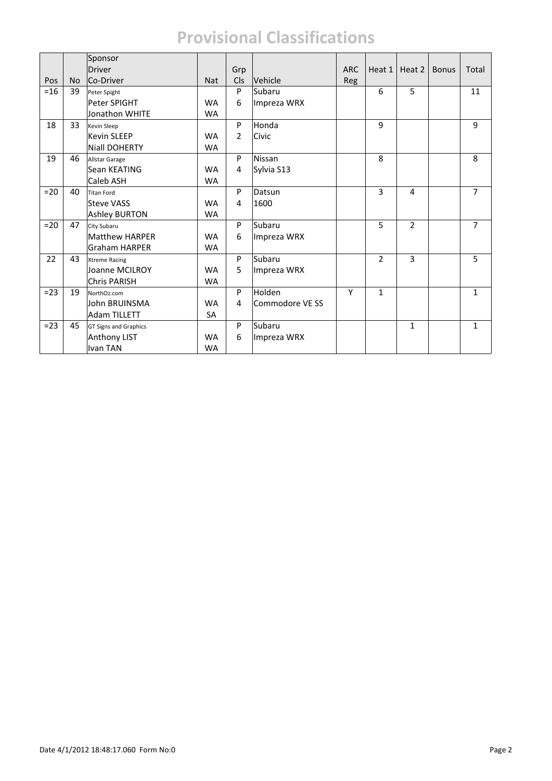|        |           | Sponsor                      |            |                |                 |            |                |                |              |                |
|--------|-----------|------------------------------|------------|----------------|-----------------|------------|----------------|----------------|--------------|----------------|
|        |           | <b>Driver</b>                |            | Grp            |                 | <b>ARC</b> | Heat 1         | Heat 2         | <b>Bonus</b> | Total          |
| Pos    | <b>No</b> | Co-Driver                    | <b>Nat</b> | <b>Cls</b>     | Vehicle         | <b>Reg</b> |                |                |              |                |
| $= 16$ | 39        | Peter Spight                 |            | P              | Subaru          |            | 6              | 5              |              | 11             |
|        |           | Peter SPIGHT                 | <b>WA</b>  | 6              | Impreza WRX     |            |                |                |              |                |
|        |           | Jonathon WHITE               | <b>WA</b>  |                |                 |            |                |                |              |                |
| 18     | 33        | Kevin Sleep                  |            | P              | Honda           |            | 9              |                |              | 9              |
|        |           | <b>Kevin SLEEP</b>           | <b>WA</b>  | $\mathfrak{p}$ | Civic           |            |                |                |              |                |
|        |           | <b>Niall DOHERTY</b>         | <b>WA</b>  |                |                 |            |                |                |              |                |
| 19     | 46        | Allstar Garage               |            | P              | <b>Nissan</b>   |            | 8              |                |              | 8              |
|        |           | Sean KEATING                 | <b>WA</b>  | 4              | Sylvia S13      |            |                |                |              |                |
|        |           | Caleb ASH                    | <b>WA</b>  |                |                 |            |                |                |              |                |
| $=20$  | 40        | <b>Titan Ford</b>            |            | P              | Datsun          |            | 3              | 4              |              | $\overline{7}$ |
|        |           | <b>Steve VASS</b>            | <b>WA</b>  | 4              | 1600            |            |                |                |              |                |
|        |           | <b>Ashley BURTON</b>         | <b>WA</b>  |                |                 |            |                |                |              |                |
| $=20$  | 47        | City Subaru                  |            | P              | Subaru          |            | 5              | $\overline{2}$ |              | $\overline{7}$ |
|        |           | <b>Matthew HARPER</b>        | <b>WA</b>  | 6              | Impreza WRX     |            |                |                |              |                |
|        |           | <b>Graham HARPER</b>         | <b>WA</b>  |                |                 |            |                |                |              |                |
| 22     | 43        | <b>Xtreme Racing</b>         |            | P              | Subaru          |            | $\overline{2}$ | 3              |              | 5              |
|        |           | Joanne MCILROY               | <b>WA</b>  | 5              | Impreza WRX     |            |                |                |              |                |
|        |           | <b>Chris PARISH</b>          | <b>WA</b>  |                |                 |            |                |                |              |                |
| $=23$  | 19        | NorthOz.com                  |            | P              | Holden          | Υ          | $\mathbf{1}$   |                |              | $\mathbf{1}$   |
|        |           | John BRUINSMA                | <b>WA</b>  | 4              | Commodore VE SS |            |                |                |              |                |
|        |           | <b>Adam TILLETT</b>          | <b>SA</b>  |                |                 |            |                |                |              |                |
| $=23$  | 45        | <b>GT Signs and Graphics</b> |            | P              | Subaru          |            |                | 1              |              | $\mathbf{1}$   |
|        |           | <b>Anthony LIST</b>          | <b>WA</b>  | 6              | Impreza WRX     |            |                |                |              |                |
|        |           | Ivan TAN                     | <b>WA</b>  |                |                 |            |                |                |              |                |